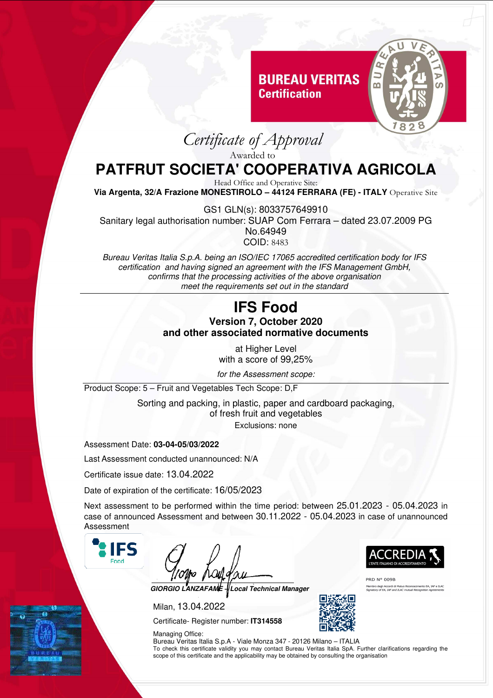## **BUREAU VERITAS Certification**



*Certificate of Approval* 

Awarded to

# **PATFRUT SOCIETA' COOPERATIVA AGRICOLA**

Head Office and Operative Site:

**Via Argenta, 32/A Frazione MONESTIROLO – 44124 FERRARA (FE) - ITALY** Operative Site

GS1 GLN(s): 8033757649910 Sanitary legal authorisation number: SUAP Com Ferrara – dated 23.07.2009 PG No.64949 COID: 8483

*Bureau Veritas Italia S.p.A. being an ISO/IEC 17065 accredited certification body for IFS certification and having signed an agreement with the IFS Management GmbH, confirms that the processing activities of the above organisation meet the requirements set out in the standard* 

#### **IFS Food Version 7, October 2020 and other associated normative documents**

at Higher Level with a score of 99,25%

*for the Assessment scope:* 

Product Scope: 5 – Fruit and Vegetables Tech Scope: D,F

Sorting and packing, in plastic, paper and cardboard packaging, of fresh fruit and vegetables Exclusions: none

Assessment Date: **03-04-05/03/2022**

Last Assessment conducted unannounced: N/A

Certificate issue date: 13.04.2022

Date of expiration of the certificate: 16/05/2023

Next assessment to be performed within the time period: between 25.01.2023 - 05.04.2023 in case of announced Assessment and between 30.11.2022 - 05.04.2023 in case of unannounced Assessment



**GIORGIO LANZAFAME – Local Technical Manager** 

Milan, 13.04.2022

Certificate- Register number: **IT314558** 

Managing Office: Bureau Veritas Italia S.p.A - Viale Monza 347 - 20126 Milano – ITALIA To check this certificate validity you may contact Bureau Veritas Italia SpA. Further clarifications regarding the scope of this certificate and the applicability may be obtained by consulting the organisation



PRD N° 009B